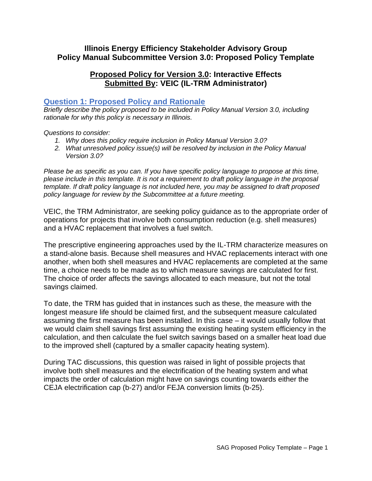# **Illinois Energy Efficiency Stakeholder Advisory Group Policy Manual Subcommittee Version 3.0: Proposed Policy Template**

# **Proposed Policy for Version 3.0: Interactive Effects Submitted By: VEIC (IL-TRM Administrator)**

### **Question 1: Proposed Policy and Rationale**

*Briefly describe the policy proposed to be included in Policy Manual Version 3.0, including rationale for why this policy is necessary in Illinois.* 

#### *Questions to consider:*

- *1. Why does this policy require inclusion in Policy Manual Version 3.0?*
- *2. What unresolved policy issue(s) will be resolved by inclusion in the Policy Manual Version 3.0?*

*Please be as specific as you can. If you have specific policy language to propose at this time, please include in this template. It is not a requirement to draft policy language in the proposal template. If draft policy language is not included here, you may be assigned to draft proposed policy language for review by the Subcommittee at a future meeting.*

VEIC, the TRM Administrator, are seeking policy guidance as to the appropriate order of operations for projects that involve both consumption reduction (e.g. shell measures) and a HVAC replacement that involves a fuel switch.

The prescriptive engineering approaches used by the IL-TRM characterize measures on a stand-alone basis. Because shell measures and HVAC replacements interact with one another, when both shell measures and HVAC replacements are completed at the same time, a choice needs to be made as to which measure savings are calculated for first. The choice of order affects the savings allocated to each measure, but not the total savings claimed.

To date, the TRM has guided that in instances such as these, the measure with the longest measure life should be claimed first, and the subsequent measure calculated assuming the first measure has been installed. In this case – it would usually follow that we would claim shell savings first assuming the existing heating system efficiency in the calculation, and then calculate the fuel switch savings based on a smaller heat load due to the improved shell (captured by a smaller capacity heating system).

During TAC discussions, this question was raised in light of possible projects that involve both shell measures and the electrification of the heating system and what impacts the order of calculation might have on savings counting towards either the CEJA electrification cap (b-27) and/or FEJA conversion limits (b-25).